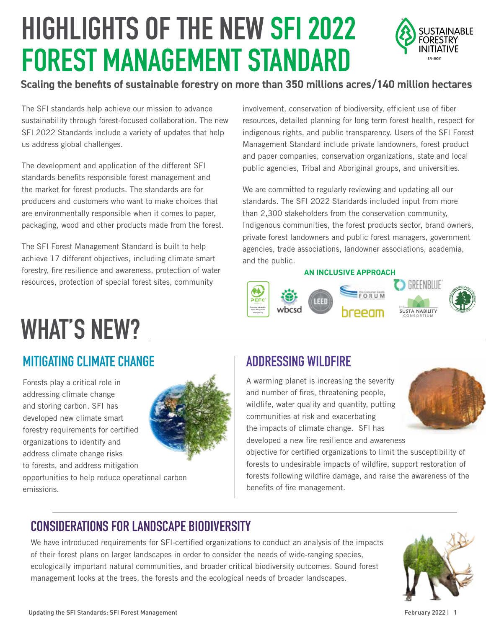# **HIGHLIGHTS OF THE NEW SFI 2022 FOREST MANAGEMENT STANDARD**



#### **Scaling the benefits of sustainable forestry on more than 350 millions acres/140 million hectares**

The SFI standards help achieve our mission to advance sustainability through forest-focused collaboration. The new SFI 2022 Standards include a variety of updates that help us address global challenges.

The development and application of the different SFI standards benefits responsible forest management and the market for forest products. The standards are for producers and customers who want to make choices that are environmentally responsible when it comes to paper, packaging, wood and other products made from the forest.

The SFI Forest Management Standard is built to help achieve 17 different objectives, including climate smart forestry, fire resilience and awareness, protection of water resources, protection of special forest sites, community

involvement, conservation of biodiversity, efficient use of fiber resources, detailed planning for long term forest health, respect for indigenous rights, and public transparency. Users of the SFI Forest Management Standard include private landowners, forest product and paper companies, conservation organizations, state and local public agencies, Tribal and Aboriginal groups, and universities.

We are committed to regularly reviewing and updating all our standards. The SFI 2022 Standards included input from more than 2,300 stakeholders from the conservation community, Indigenous communities, the forest products sector, brand owners, private forest landowners and public forest managers, government agencies, trade associations, landowner associations, academia, and the public.

#### **AN INCLUSIVE APPROACH**



# **WHAT'S NEW?**

#### **MITIGATING CLIMATE CHANGE**

Forests play a critical role in addressing climate change and storing carbon. SFI has developed new climate smart forestry requirements for certified organizations to identify and address climate change risks to forests, and address mitigation

emissions.



#### **ADDRESSING WILDFIRE**

A warming planet is increasing the severity and number of fires, threatening people, wildlife, water quality and quantity, putting communities at risk and exacerbating the impacts of climate change. SFI has developed a new fire resilience and awareness



objective for certified organizations to limit the susceptibility of forests to undesirable impacts of wildfire, support restoration of forests following wildfire damage, and raise the awareness of the benefits of fire management.

#### **CONSIDERATIONS FOR LANDSCAPE BIODIVERSITY**

We have introduced requirements for SFI-certified organizations to conduct an analysis of the impacts of their forest plans on larger landscapes in order to consider the needs of wide-ranging species, ecologically important natural communities, and broader critical biodiversity outcomes. Sound forest management looks at the trees, the forests and the ecological needs of broader landscapes.



opportunities to help reduce operational carbon